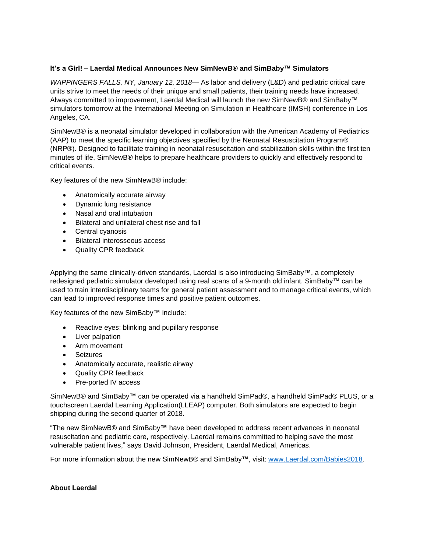## **It's a Girl! – Laerdal Medical Announces New SimNewB® and SimBaby™ Simulators**

*WAPPINGERS FALLS, NY, January 12, 2018*— As labor and delivery (L&D) and pediatric critical care units strive to meet the needs of their unique and small patients, their training needs have increased. Always committed to improvement, Laerdal Medical will launch the new SimNewB® and SimBaby™ simulators tomorrow at the International Meeting on Simulation in Healthcare (IMSH) conference in Los Angeles, CA.

SimNewB® is a neonatal simulator developed in collaboration with the American Academy of Pediatrics (AAP) to meet the specific learning objectives specified by the Neonatal Resuscitation Program® (NRP®). Designed to facilitate training in neonatal resuscitation and stabilization skills within the first ten minutes of life, SimNewB® helps to prepare healthcare providers to quickly and effectively respond to critical events.

Key features of the new SimNewB® include:

- Anatomically accurate airway
- Dynamic lung resistance
- Nasal and oral intubation
- Bilateral and unilateral chest rise and fall
- Central cyanosis
- Bilateral interosseous access
- Quality CPR feedback

Applying the same clinically-driven standards, Laerdal is also introducing SimBaby™, a completely redesigned pediatric simulator developed using real scans of a 9-month old infant. SimBaby™ can be used to train interdisciplinary teams for general patient assessment and to manage critical events, which can lead to improved response times and positive patient outcomes.

Key features of the new SimBaby™ include:

- Reactive eyes: blinking and pupillary response
- Liver palpation
- Arm movement
- Seizures
- Anatomically accurate, realistic airway
- Quality CPR feedback
- Pre-ported IV access

SimNewB® and SimBaby™ can be operated via a handheld SimPad®, a handheld SimPad® PLUS, or a touchscreen Laerdal Learning Application(LLEAP) computer. Both simulators are expected to begin shipping during the second quarter of 2018.

"The new SimNewB® and SimBaby**™** have been developed to address recent advances in neonatal resuscitation and pediatric care, respectively. Laerdal remains committed to helping save the most vulnerable patient lives," says David Johnson, President, Laerdal Medical, Americas.

For more information about the new SimNewB® and SimBaby**™**, visit: [www.Laerdal.com/Babies2018.](http://www.laerdal.com/babies2018#utm_source=PR%20Newswire&utm_medium=Press%20Release&utm_campaign=18-16361%20-%20SimBaby%20and%20SimNewB%20Press%20Release&utm_content=Babies%202018)

## **About Laerdal**